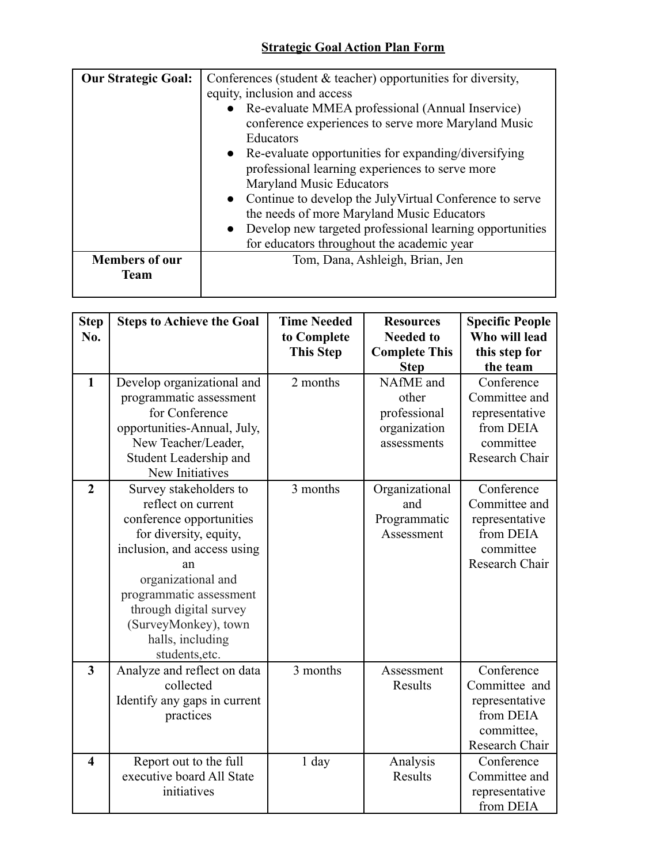## **Strategic Goal Action Plan Form**

| <b>Our Strategic Goal:</b> | Conferences (student $\&$ teacher) opportunities for diversity, |  |  |  |  |
|----------------------------|-----------------------------------------------------------------|--|--|--|--|
|                            | equity, inclusion and access                                    |  |  |  |  |
|                            | Re-evaluate MMEA professional (Annual Inservice)                |  |  |  |  |
|                            | conference experiences to serve more Maryland Music             |  |  |  |  |
|                            | Educators                                                       |  |  |  |  |
|                            | • Re-evaluate opportunities for expanding/diversifying          |  |  |  |  |
|                            | professional learning experiences to serve more                 |  |  |  |  |
|                            | Maryland Music Educators                                        |  |  |  |  |
|                            | • Continue to develop the JulyVirtual Conference to serve       |  |  |  |  |
|                            | the needs of more Maryland Music Educators                      |  |  |  |  |
|                            | Develop new targeted professional learning opportunities        |  |  |  |  |
|                            | for educators throughout the academic year                      |  |  |  |  |
| <b>Members of our</b>      | Tom, Dana, Ashleigh, Brian, Jen                                 |  |  |  |  |
| <b>Team</b>                |                                                                 |  |  |  |  |
|                            |                                                                 |  |  |  |  |

| <b>Step</b><br>No.      | <b>Steps to Achieve the Goal</b>                                                                                                                                                                                                                                                 | <b>Time Needed</b><br>to Complete<br><b>This Step</b> | <b>Resources</b><br><b>Needed to</b><br><b>Complete This</b><br><b>Step</b> | <b>Specific People</b><br>Who will lead<br>this step for<br>the team                       |
|-------------------------|----------------------------------------------------------------------------------------------------------------------------------------------------------------------------------------------------------------------------------------------------------------------------------|-------------------------------------------------------|-----------------------------------------------------------------------------|--------------------------------------------------------------------------------------------|
| $\mathbf{1}$            | Develop organizational and<br>programmatic assessment<br>for Conference<br>opportunities-Annual, July,<br>New Teacher/Leader,<br>Student Leadership and<br>New Initiatives                                                                                                       | 2 months                                              | NAfME and<br>other<br>professional<br>organization<br>assessments           | Conference<br>Committee and<br>representative<br>from DEIA<br>committee<br>Research Chair  |
| $\overline{2}$          | Survey stakeholders to<br>reflect on current<br>conference opportunities<br>for diversity, equity,<br>inclusion, and access using<br>an<br>organizational and<br>programmatic assessment<br>through digital survey<br>(SurveyMonkey), town<br>halls, including<br>students, etc. | 3 months                                              | Organizational<br>and<br>Programmatic<br>Assessment                         | Conference<br>Committee and<br>representative<br>from DEIA<br>committee<br>Research Chair  |
| $\overline{\mathbf{3}}$ | Analyze and reflect on data<br>collected<br>Identify any gaps in current<br>practices                                                                                                                                                                                            | 3 months                                              | Assessment<br>Results                                                       | Conference<br>Committee and<br>representative<br>from DEIA<br>committee,<br>Research Chair |
| $\overline{\mathbf{4}}$ | Report out to the full<br>executive board All State<br>initiatives                                                                                                                                                                                                               | $1$ day                                               | Analysis<br>Results                                                         | Conference<br>Committee and<br>representative<br>from DEIA                                 |